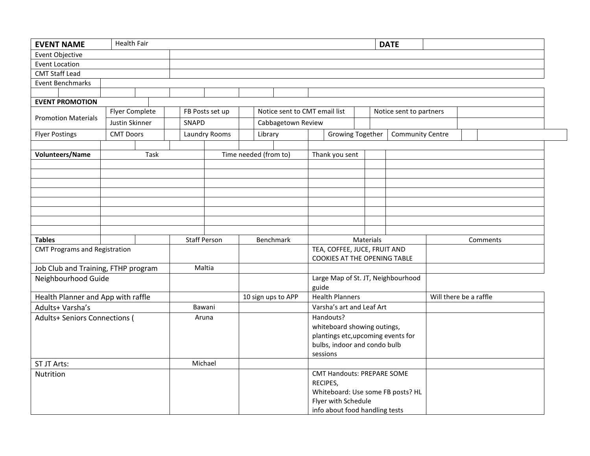| <b>EVENT NAME</b>                    | <b>Health Fair</b> |  |  |                     |  |                       |                               |                                   |                                    |                              |                         | <b>DATE</b>             |          |  |  |  |
|--------------------------------------|--------------------|--|--|---------------------|--|-----------------------|-------------------------------|-----------------------------------|------------------------------------|------------------------------|-------------------------|-------------------------|----------|--|--|--|
| Event Objective                      |                    |  |  |                     |  |                       |                               |                                   |                                    |                              |                         |                         |          |  |  |  |
| <b>Event Location</b>                |                    |  |  |                     |  |                       |                               |                                   |                                    |                              |                         |                         |          |  |  |  |
| <b>CMT Staff Lead</b>                |                    |  |  |                     |  |                       |                               |                                   |                                    |                              |                         |                         |          |  |  |  |
| <b>Event Benchmarks</b>              |                    |  |  |                     |  |                       |                               |                                   |                                    |                              |                         |                         |          |  |  |  |
|                                      |                    |  |  |                     |  |                       |                               |                                   |                                    |                              |                         |                         |          |  |  |  |
| <b>EVENT PROMOTION</b>               |                    |  |  |                     |  |                       |                               |                                   |                                    |                              |                         |                         |          |  |  |  |
| <b>Promotion Materials</b>           | Flyer Complete     |  |  | FB Posts set up     |  |                       | Notice sent to CMT email list |                                   |                                    |                              | Notice sent to partners |                         |          |  |  |  |
|                                      | Justin Skinner     |  |  | SNAPD               |  |                       | Cabbagetown Review            |                                   |                                    |                              |                         |                         |          |  |  |  |
| <b>Flyer Postings</b>                | <b>CMT Doors</b>   |  |  | Laundry Rooms       |  |                       | Library                       |                                   | <b>Growing Together</b>            |                              |                         | <b>Community Centre</b> |          |  |  |  |
|                                      |                    |  |  |                     |  |                       |                               |                                   |                                    |                              |                         |                         |          |  |  |  |
| Volunteers/Name                      | Task               |  |  |                     |  | Time needed (from to) |                               |                                   | Thank you sent                     |                              |                         |                         |          |  |  |  |
|                                      |                    |  |  |                     |  |                       |                               |                                   |                                    |                              |                         |                         |          |  |  |  |
|                                      |                    |  |  |                     |  |                       |                               |                                   |                                    |                              |                         |                         |          |  |  |  |
|                                      |                    |  |  |                     |  |                       |                               |                                   |                                    |                              |                         |                         |          |  |  |  |
|                                      |                    |  |  |                     |  |                       |                               |                                   |                                    |                              |                         |                         |          |  |  |  |
|                                      |                    |  |  |                     |  |                       |                               |                                   |                                    |                              |                         |                         |          |  |  |  |
|                                      |                    |  |  |                     |  |                       |                               |                                   |                                    |                              |                         |                         |          |  |  |  |
|                                      |                    |  |  |                     |  |                       |                               |                                   |                                    |                              |                         |                         |          |  |  |  |
|                                      |                    |  |  |                     |  |                       |                               |                                   |                                    |                              |                         |                         |          |  |  |  |
| <b>Tables</b>                        |                    |  |  | <b>Staff Person</b> |  |                       |                               | <b>Benchmark</b>                  | Materials                          |                              |                         |                         | Comments |  |  |  |
| <b>CMT Programs and Registration</b> |                    |  |  |                     |  |                       |                               | TEA, COFFEE, JUCE, FRUIT AND      |                                    |                              |                         |                         |          |  |  |  |
|                                      |                    |  |  |                     |  |                       |                               |                                   |                                    | COOKIES AT THE OPENING TABLE |                         |                         |          |  |  |  |
| Job Club and Training, FTHP program  |                    |  |  | Maltia              |  |                       |                               |                                   |                                    |                              |                         |                         |          |  |  |  |
| Neighbourhood Guide                  |                    |  |  |                     |  |                       |                               |                                   | Large Map of St. JT, Neighbourhood |                              |                         |                         |          |  |  |  |
|                                      |                    |  |  |                     |  |                       |                               | guide                             |                                    |                              |                         |                         |          |  |  |  |
| Health Planner and App with raffle   |                    |  |  |                     |  |                       |                               | 10 sign ups to APP                | <b>Health Planners</b>             |                              |                         | Will there be a raffle  |          |  |  |  |
| Adults+ Varsha's                     |                    |  |  | Bawani              |  |                       |                               |                                   | Varsha's art and Leaf Art          |                              |                         |                         |          |  |  |  |
| <b>Adults+ Seniors Connections (</b> |                    |  |  | Aruna               |  |                       |                               |                                   | Handouts?                          |                              |                         |                         |          |  |  |  |
|                                      |                    |  |  |                     |  |                       |                               |                                   | whiteboard showing outings,        |                              |                         |                         |          |  |  |  |
|                                      |                    |  |  |                     |  |                       |                               |                                   | plantings etc, upcoming events for |                              |                         |                         |          |  |  |  |
|                                      |                    |  |  |                     |  |                       |                               |                                   | bulbs, indoor and condo bulb       |                              |                         |                         |          |  |  |  |
|                                      |                    |  |  |                     |  |                       |                               |                                   | sessions                           |                              |                         |                         |          |  |  |  |
| ST JT Arts:                          |                    |  |  | Michael             |  |                       |                               |                                   |                                    |                              |                         |                         |          |  |  |  |
| Nutrition                            |                    |  |  |                     |  |                       |                               |                                   | <b>CMT Handouts: PREPARE SOME</b>  |                              |                         |                         |          |  |  |  |
|                                      |                    |  |  |                     |  |                       |                               | RECIPES,                          |                                    |                              |                         |                         |          |  |  |  |
|                                      |                    |  |  |                     |  |                       |                               | Whiteboard: Use some FB posts? HL |                                    |                              |                         |                         |          |  |  |  |
|                                      |                    |  |  |                     |  |                       |                               |                                   | Flyer with Schedule                |                              |                         |                         |          |  |  |  |
|                                      |                    |  |  |                     |  |                       |                               |                                   | info about food handling tests     |                              |                         |                         |          |  |  |  |